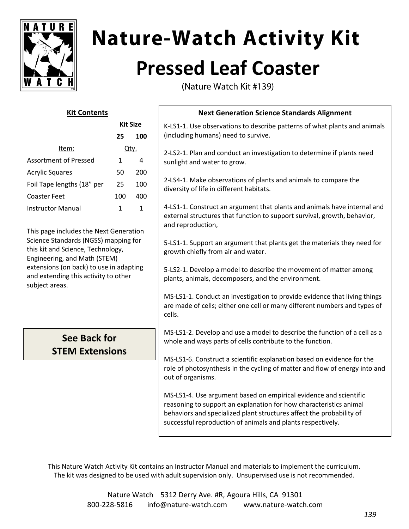

# **Nature-Watch Activity Kit Pressed Leaf Coaster**

(Nature Watch Kit #139)

| <b>Kit Contents</b>                                                                                                                                                                                            |              |                        | <b>Next Generation Science Standards Alignment</b>                                                                                                                                                                                                                             |
|----------------------------------------------------------------------------------------------------------------------------------------------------------------------------------------------------------------|--------------|------------------------|--------------------------------------------------------------------------------------------------------------------------------------------------------------------------------------------------------------------------------------------------------------------------------|
|                                                                                                                                                                                                                | 25           | <b>Kit Size</b><br>100 | K-LS1-1. Use observations to describe patterns of what plants and animals<br>(including humans) need to survive.                                                                                                                                                               |
| Qty.<br>Item:                                                                                                                                                                                                  |              |                        | 2-LS2-1. Plan and conduct an investigation to determine if plants need                                                                                                                                                                                                         |
| <b>Assortment of Pressed</b>                                                                                                                                                                                   | 1            | 4                      | sunlight and water to grow.                                                                                                                                                                                                                                                    |
| <b>Acrylic Squares</b>                                                                                                                                                                                         | 50           | 200                    |                                                                                                                                                                                                                                                                                |
| Foil Tape lengths (18" per                                                                                                                                                                                     | 25           | 100                    | 2-LS4-1. Make observations of plants and animals to compare the<br>diversity of life in different habitats.                                                                                                                                                                    |
| <b>Coaster Feet</b>                                                                                                                                                                                            | 100          | 400                    |                                                                                                                                                                                                                                                                                |
| <b>Instructor Manual</b><br>This page includes the Next Generation                                                                                                                                             | $\mathbf{1}$ | $\mathbf{1}$           | 4-LS1-1. Construct an argument that plants and animals have internal and<br>external structures that function to support survival, growth, behavior,<br>and reproduction,                                                                                                      |
| Science Standards (NGSS) mapping for<br>this kit and Science, Technology,<br>Engineering, and Math (STEM)<br>extensions (on back) to use in adapting<br>and extending this activity to other<br>subject areas. |              |                        | 5-LS1-1. Support an argument that plants get the materials they need for<br>growth chiefly from air and water.                                                                                                                                                                 |
|                                                                                                                                                                                                                |              |                        | 5-LS2-1. Develop a model to describe the movement of matter among<br>plants, animals, decomposers, and the environment.                                                                                                                                                        |
|                                                                                                                                                                                                                |              |                        | MS-LS1-1. Conduct an investigation to provide evidence that living things<br>are made of cells; either one cell or many different numbers and types of<br>cells.                                                                                                               |
| <b>See Back for</b><br><b>STEM Extensions</b>                                                                                                                                                                  |              |                        | MS-LS1-2. Develop and use a model to describe the function of a cell as a<br>whole and ways parts of cells contribute to the function.                                                                                                                                         |
|                                                                                                                                                                                                                |              |                        | MS-LS1-6. Construct a scientific explanation based on evidence for the<br>role of photosynthesis in the cycling of matter and flow of energy into and<br>out of organisms.                                                                                                     |
|                                                                                                                                                                                                                |              |                        | MS-LS1-4. Use argument based on empirical evidence and scientific<br>reasoning to support an explanation for how characteristics animal<br>behaviors and specialized plant structures affect the probability of<br>successful reproduction of animals and plants respectively. |
|                                                                                                                                                                                                                |              |                        |                                                                                                                                                                                                                                                                                |

This Nature Watch Activity Kit contains an Instructor Manual and materials to implement the curriculum. The kit was designed to be used with adult supervision only. Unsupervised use is not recommended.